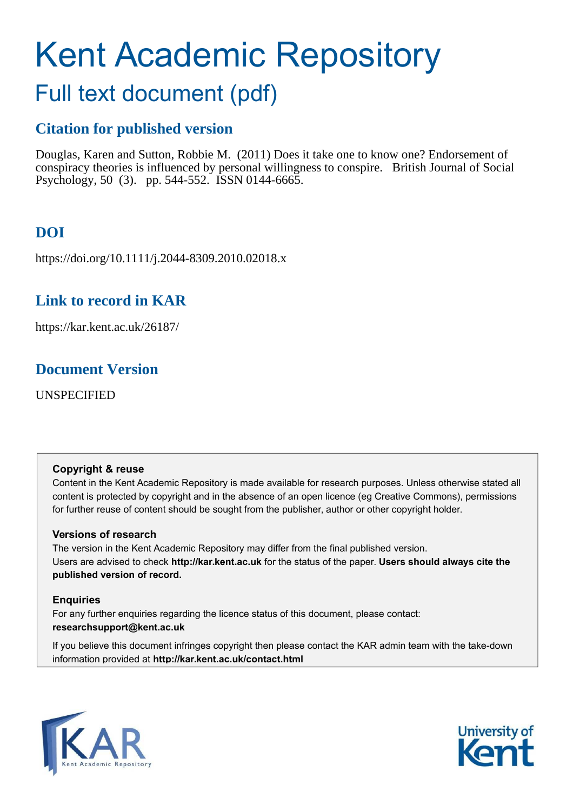# Kent Academic Repository

# Full text document (pdf)

## **Citation for published version**

Douglas, Karen and Sutton, Robbie M. (2011) Does it take one to know one? Endorsement of conspiracy theories is influenced by personal willingness to conspire. British Journal of Social Psychology, 50 (3). pp. 544-552. ISSN 0144-6665.

## **DOI**

https://doi.org/10.1111/j.2044-8309.2010.02018.x

## **Link to record in KAR**

https://kar.kent.ac.uk/26187/

## **Document Version**

UNSPECIFIED

#### **Copyright & reuse**

Content in the Kent Academic Repository is made available for research purposes. Unless otherwise stated all content is protected by copyright and in the absence of an open licence (eg Creative Commons), permissions for further reuse of content should be sought from the publisher, author or other copyright holder.

#### **Versions of research**

The version in the Kent Academic Repository may differ from the final published version. Users are advised to check **http://kar.kent.ac.uk** for the status of the paper. **Users should always cite the published version of record.**

#### **Enquiries**

For any further enquiries regarding the licence status of this document, please contact: **researchsupport@kent.ac.uk**

If you believe this document infringes copyright then please contact the KAR admin team with the take-down information provided at **http://kar.kent.ac.uk/contact.html**



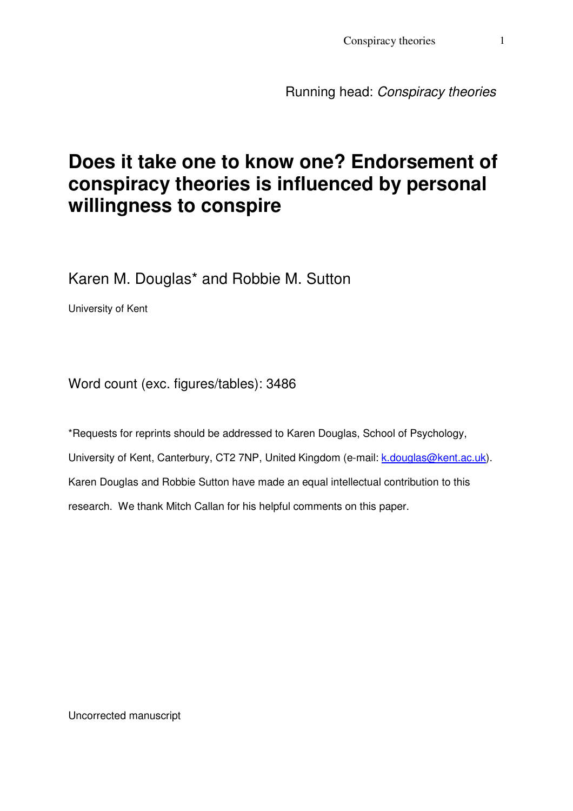Conspiracy theories 1

Running head: Conspiracy theories

## **Does it take one to know one? Endorsement of conspiracy theories is influenced by personal willingness to conspire**

Karen M. Douglas\* and Robbie M. Sutton

University of Kent

Word count (exc. figures/tables): 3486

\*Requests for reprints should be addressed to Karen Douglas, School of Psychology, University of Kent, Canterbury, CT2 7NP, United Kingdom (e-mail: k.douglas@kent.ac.uk). Karen Douglas and Robbie Sutton have made an equal intellectual contribution to this research. We thank Mitch Callan for his helpful comments on this paper.

Uncorrected manuscript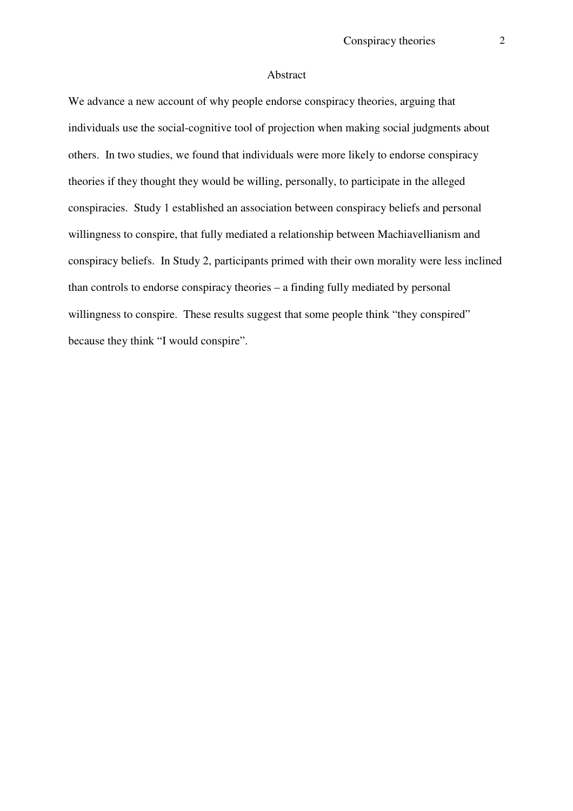#### Abstract

We advance a new account of why people endorse conspiracy theories, arguing that individuals use the social-cognitive tool of projection when making social judgments about others. In two studies, we found that individuals were more likely to endorse conspiracy theories if they thought they would be willing, personally, to participate in the alleged conspiracies. Study 1 established an association between conspiracy beliefs and personal willingness to conspire, that fully mediated a relationship between Machiavellianism and conspiracy beliefs. In Study 2, participants primed with their own morality were less inclined than controls to endorse conspiracy theories – a finding fully mediated by personal willingness to conspire. These results suggest that some people think "they conspired" because they think "I would conspire".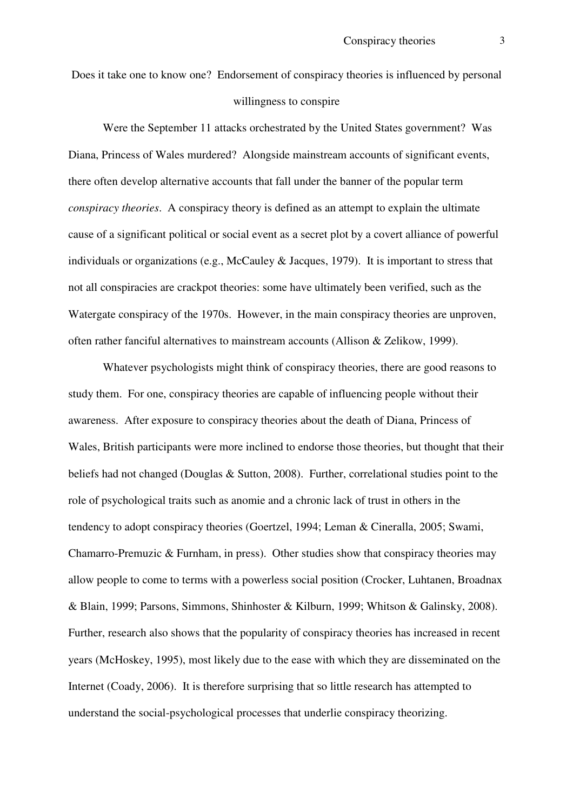Does it take one to know one? Endorsement of conspiracy theories is influenced by personal willingness to conspire

Were the September 11 attacks orchestrated by the United States government? Was Diana, Princess of Wales murdered? Alongside mainstream accounts of significant events, there often develop alternative accounts that fall under the banner of the popular term *conspiracy theories*. A conspiracy theory is defined as an attempt to explain the ultimate cause of a significant political or social event as a secret plot by a covert alliance of powerful individuals or organizations (e.g., McCauley & Jacques, 1979). It is important to stress that not all conspiracies are crackpot theories: some have ultimately been verified, such as the Watergate conspiracy of the 1970s. However, in the main conspiracy theories are unproven, often rather fanciful alternatives to mainstream accounts (Allison & Zelikow, 1999).

Whatever psychologists might think of conspiracy theories, there are good reasons to study them. For one, conspiracy theories are capable of influencing people without their awareness. After exposure to conspiracy theories about the death of Diana, Princess of Wales, British participants were more inclined to endorse those theories, but thought that their beliefs had not changed (Douglas & Sutton, 2008). Further, correlational studies point to the role of psychological traits such as anomie and a chronic lack of trust in others in the tendency to adopt conspiracy theories (Goertzel, 1994; Leman & Cineralla, 2005; Swami, Chamarro-Premuzic & Furnham, in press). Other studies show that conspiracy theories may allow people to come to terms with a powerless social position (Crocker, Luhtanen, Broadnax & Blain, 1999; Parsons, Simmons, Shinhoster & Kilburn, 1999; Whitson & Galinsky, 2008). Further, research also shows that the popularity of conspiracy theories has increased in recent years (McHoskey, 1995), most likely due to the ease with which they are disseminated on the Internet (Coady, 2006). It is therefore surprising that so little research has attempted to understand the social-psychological processes that underlie conspiracy theorizing.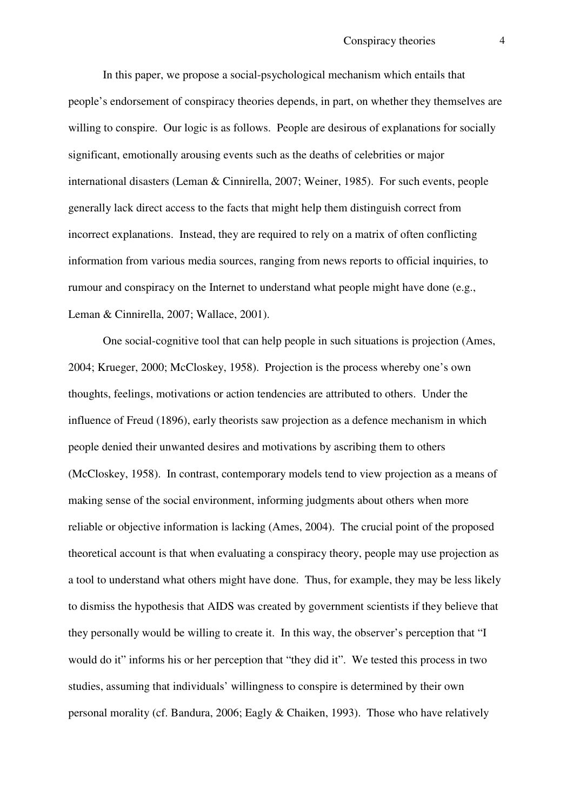In this paper, we propose a social-psychological mechanism which entails that people's endorsement of conspiracy theories depends, in part, on whether they themselves are willing to conspire. Our logic is as follows. People are desirous of explanations for socially significant, emotionally arousing events such as the deaths of celebrities or major international disasters (Leman & Cinnirella, 2007; Weiner, 1985). For such events, people generally lack direct access to the facts that might help them distinguish correct from incorrect explanations. Instead, they are required to rely on a matrix of often conflicting information from various media sources, ranging from news reports to official inquiries, to rumour and conspiracy on the Internet to understand what people might have done (e.g., Leman & Cinnirella, 2007; Wallace, 2001).

One social-cognitive tool that can help people in such situations is projection (Ames, 2004; Krueger, 2000; McCloskey, 1958). Projection is the process whereby one's own thoughts, feelings, motivations or action tendencies are attributed to others. Under the influence of Freud (1896), early theorists saw projection as a defence mechanism in which people denied their unwanted desires and motivations by ascribing them to others (McCloskey, 1958). In contrast, contemporary models tend to view projection as a means of making sense of the social environment, informing judgments about others when more reliable or objective information is lacking (Ames, 2004). The crucial point of the proposed theoretical account is that when evaluating a conspiracy theory, people may use projection as a tool to understand what others might have done. Thus, for example, they may be less likely to dismiss the hypothesis that AIDS was created by government scientists if they believe that they personally would be willing to create it. In this way, the observer's perception that "I would do it" informs his or her perception that "they did it". We tested this process in two studies, assuming that individuals' willingness to conspire is determined by their own personal morality (cf. Bandura, 2006; Eagly & Chaiken, 1993). Those who have relatively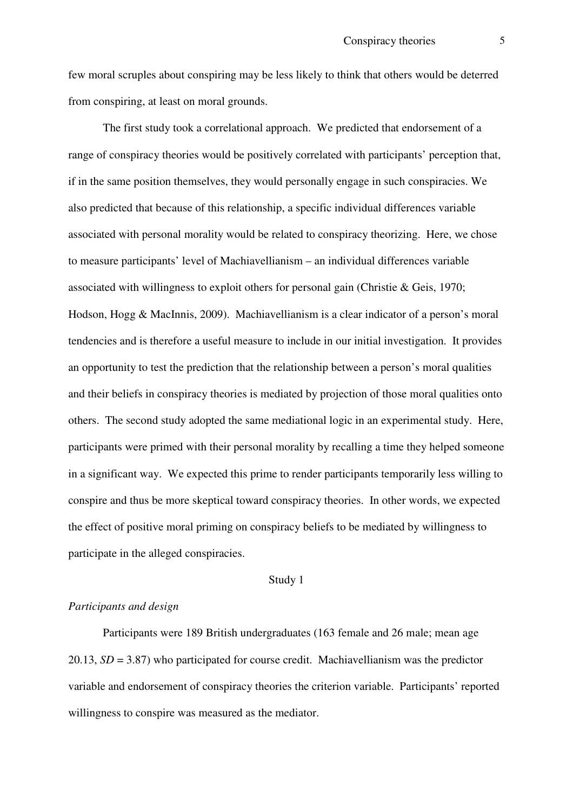few moral scruples about conspiring may be less likely to think that others would be deterred from conspiring, at least on moral grounds.

The first study took a correlational approach. We predicted that endorsement of a range of conspiracy theories would be positively correlated with participants' perception that, if in the same position themselves, they would personally engage in such conspiracies. We also predicted that because of this relationship, a specific individual differences variable associated with personal morality would be related to conspiracy theorizing. Here, we chose to measure participants' level of Machiavellianism – an individual differences variable associated with willingness to exploit others for personal gain (Christie & Geis, 1970; Hodson, Hogg & MacInnis, 2009). Machiavellianism is a clear indicator of a person's moral tendencies and is therefore a useful measure to include in our initial investigation. It provides an opportunity to test the prediction that the relationship between a person's moral qualities and their beliefs in conspiracy theories is mediated by projection of those moral qualities onto others. The second study adopted the same mediational logic in an experimental study. Here, participants were primed with their personal morality by recalling a time they helped someone in a significant way. We expected this prime to render participants temporarily less willing to conspire and thus be more skeptical toward conspiracy theories. In other words, we expected the effect of positive moral priming on conspiracy beliefs to be mediated by willingness to participate in the alleged conspiracies.

#### Study 1

#### *Participants and design*

Participants were 189 British undergraduates (163 female and 26 male; mean age 20.13, *SD* = 3.87) who participated for course credit. Machiavellianism was the predictor variable and endorsement of conspiracy theories the criterion variable. Participants' reported willingness to conspire was measured as the mediator.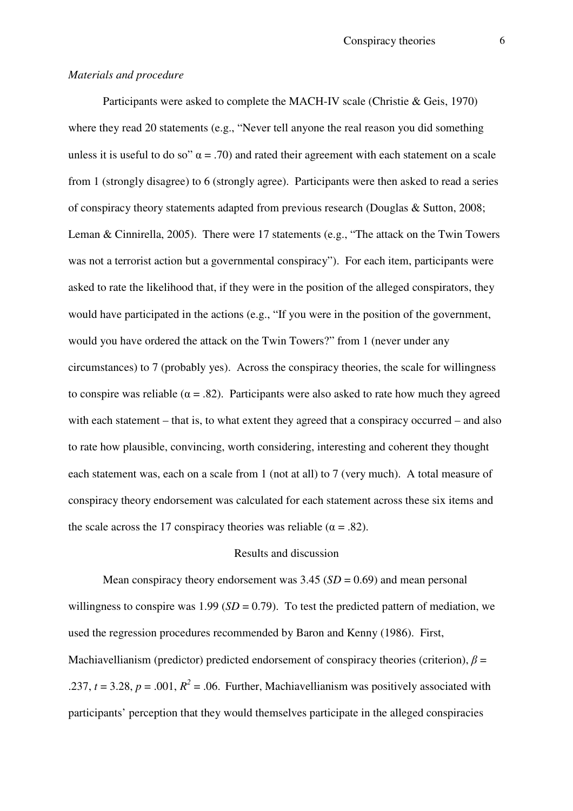#### *Materials and procedure*

Participants were asked to complete the MACH-IV scale (Christie & Geis, 1970) where they read 20 statements (e.g., "Never tell anyone the real reason you did something unless it is useful to do so"  $\alpha$  = .70) and rated their agreement with each statement on a scale from 1 (strongly disagree) to 6 (strongly agree). Participants were then asked to read a series of conspiracy theory statements adapted from previous research (Douglas & Sutton, 2008; Leman & Cinnirella, 2005). There were 17 statements (e.g., "The attack on the Twin Towers was not a terrorist action but a governmental conspiracy"). For each item, participants were asked to rate the likelihood that, if they were in the position of the alleged conspirators, they would have participated in the actions (e.g., "If you were in the position of the government, would you have ordered the attack on the Twin Towers?" from 1 (never under any circumstances) to 7 (probably yes). Across the conspiracy theories, the scale for willingness to conspire was reliable ( $\alpha = .82$ ). Participants were also asked to rate how much they agreed with each statement – that is, to what extent they agreed that a conspiracy occurred – and also to rate how plausible, convincing, worth considering, interesting and coherent they thought each statement was, each on a scale from 1 (not at all) to 7 (very much). A total measure of conspiracy theory endorsement was calculated for each statement across these six items and the scale across the 17 conspiracy theories was reliable ( $\alpha = .82$ ).

#### Results and discussion

Mean conspiracy theory endorsement was  $3.45$  ( $SD = 0.69$ ) and mean personal willingness to conspire was  $1.99$  (*SD* = 0.79). To test the predicted pattern of mediation, we used the regression procedures recommended by Baron and Kenny (1986). First, Machiavellianism (predictor) predicted endorsement of conspiracy theories (criterion),  $\beta =$ .237,  $t = 3.28$ ,  $p = .001$ ,  $R^2 = .06$ . Further, Machiavellianism was positively associated with participants' perception that they would themselves participate in the alleged conspiracies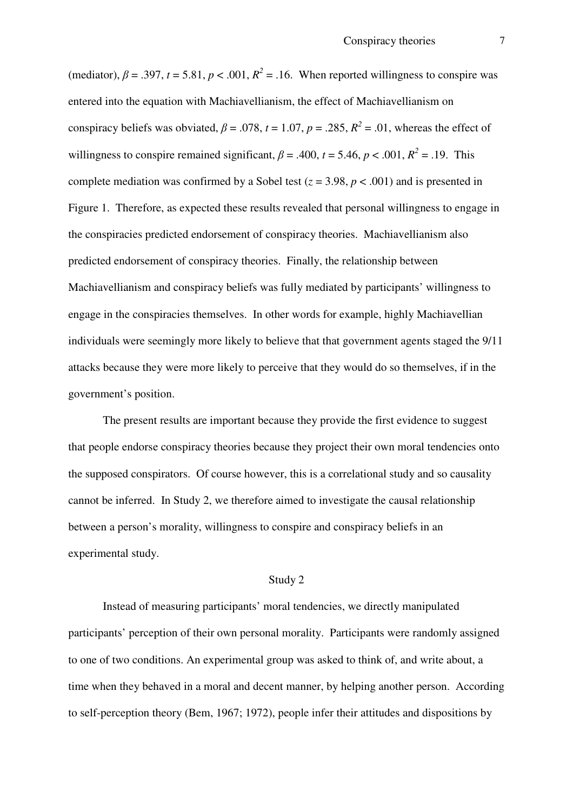(mediator),  $\beta = .397$ ,  $t = 5.81$ ,  $p < .001$ ,  $R^2 = .16$ . When reported willingness to conspire was entered into the equation with Machiavellianism, the effect of Machiavellianism on conspiracy beliefs was obviated,  $\beta = .078$ ,  $t = 1.07$ ,  $p = .285$ ,  $R^2 = .01$ , whereas the effect of willingness to conspire remained significant,  $\beta = .400$ ,  $t = 5.46$ ,  $p < .001$ ,  $R^2 = .19$ . This complete mediation was confirmed by a Sobel test ( $z = 3.98$ ,  $p < .001$ ) and is presented in Figure 1. Therefore, as expected these results revealed that personal willingness to engage in the conspiracies predicted endorsement of conspiracy theories. Machiavellianism also predicted endorsement of conspiracy theories. Finally, the relationship between Machiavellianism and conspiracy beliefs was fully mediated by participants' willingness to engage in the conspiracies themselves. In other words for example, highly Machiavellian individuals were seemingly more likely to believe that that government agents staged the 9/11 attacks because they were more likely to perceive that they would do so themselves, if in the government's position.

The present results are important because they provide the first evidence to suggest that people endorse conspiracy theories because they project their own moral tendencies onto the supposed conspirators. Of course however, this is a correlational study and so causality cannot be inferred. In Study 2, we therefore aimed to investigate the causal relationship between a person's morality, willingness to conspire and conspiracy beliefs in an experimental study.

#### Study 2

 Instead of measuring participants' moral tendencies, we directly manipulated participants' perception of their own personal morality. Participants were randomly assigned to one of two conditions. An experimental group was asked to think of, and write about, a time when they behaved in a moral and decent manner, by helping another person. According to self-perception theory (Bem, 1967; 1972), people infer their attitudes and dispositions by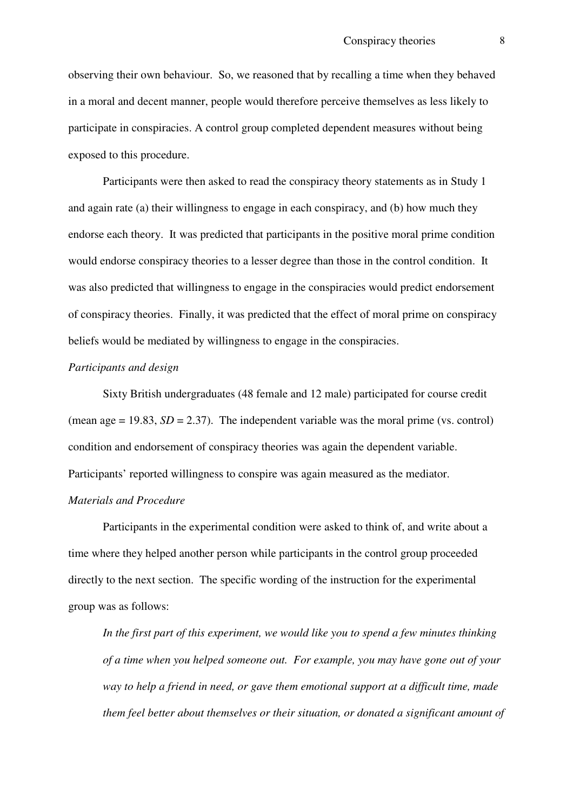observing their own behaviour. So, we reasoned that by recalling a time when they behaved in a moral and decent manner, people would therefore perceive themselves as less likely to participate in conspiracies. A control group completed dependent measures without being exposed to this procedure.

Participants were then asked to read the conspiracy theory statements as in Study 1 and again rate (a) their willingness to engage in each conspiracy, and (b) how much they endorse each theory. It was predicted that participants in the positive moral prime condition would endorse conspiracy theories to a lesser degree than those in the control condition. It was also predicted that willingness to engage in the conspiracies would predict endorsement of conspiracy theories. Finally, it was predicted that the effect of moral prime on conspiracy beliefs would be mediated by willingness to engage in the conspiracies.

#### *Participants and design*

 Sixty British undergraduates (48 female and 12 male) participated for course credit (mean age  $= 19.83$ ,  $SD = 2.37$ ). The independent variable was the moral prime (vs. control) condition and endorsement of conspiracy theories was again the dependent variable. Participants' reported willingness to conspire was again measured as the mediator.

#### *Materials and Procedure*

 Participants in the experimental condition were asked to think of, and write about a time where they helped another person while participants in the control group proceeded directly to the next section. The specific wording of the instruction for the experimental group was as follows:

*In the first part of this experiment, we would like you to spend a few minutes thinking of a time when you helped someone out. For example, you may have gone out of your way to help a friend in need, or gave them emotional support at a difficult time, made them feel better about themselves or their situation, or donated a significant amount of*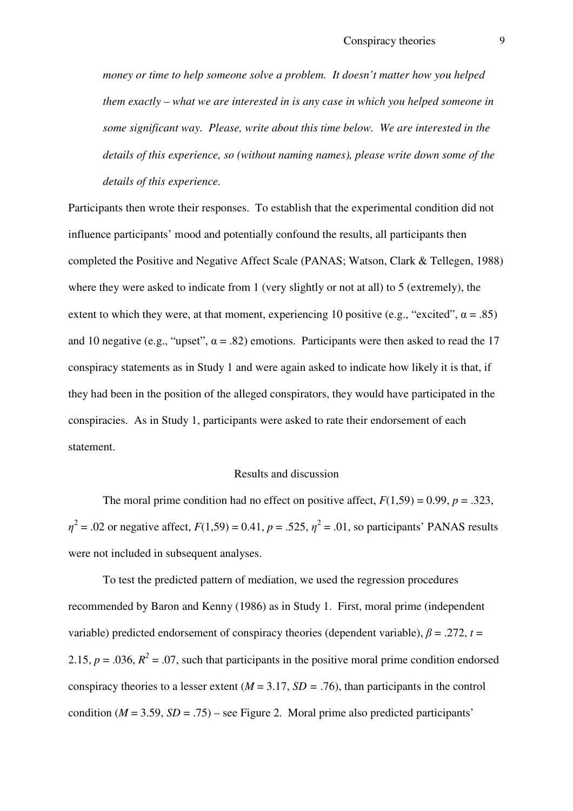*money or time to help someone solve a problem. It doesn't matter how you helped them exactly – what we are interested in is any case in which you helped someone in some significant way. Please, write about this time below. We are interested in the details of this experience, so (without naming names), please write down some of the details of this experience.* 

Participants then wrote their responses. To establish that the experimental condition did not influence participants' mood and potentially confound the results, all participants then completed the Positive and Negative Affect Scale (PANAS; Watson, Clark & Tellegen, 1988) where they were asked to indicate from 1 (very slightly or not at all) to 5 (extremely), the extent to which they were, at that moment, experiencing 10 positive (e.g., "excited",  $\alpha = .85$ ) and 10 negative (e.g., "upset",  $\alpha$  = .82) emotions. Participants were then asked to read the 17 conspiracy statements as in Study 1 and were again asked to indicate how likely it is that, if they had been in the position of the alleged conspirators, they would have participated in the conspiracies. As in Study 1, participants were asked to rate their endorsement of each statement.

#### Results and discussion

The moral prime condition had no effect on positive affect,  $F(1,59) = 0.99$ ,  $p = .323$ ,  $\eta^2$  = .02 or negative affect,  $F(1,59) = 0.41$ ,  $p = .525$ ,  $\eta^2 = .01$ , so participants' PANAS results were not included in subsequent analyses.

To test the predicted pattern of mediation, we used the regression procedures recommended by Baron and Kenny (1986) as in Study 1. First, moral prime (independent variable) predicted endorsement of conspiracy theories (dependent variable),  $\beta = .272$ ,  $t =$ 2.15,  $p = 0.036$ ,  $R^2 = 0.07$ , such that participants in the positive moral prime condition endorsed conspiracy theories to a lesser extent  $(M = 3.17, SD = .76)$ , than participants in the control condition  $(M = 3.59, SD = .75)$  – see Figure 2. Moral prime also predicted participants'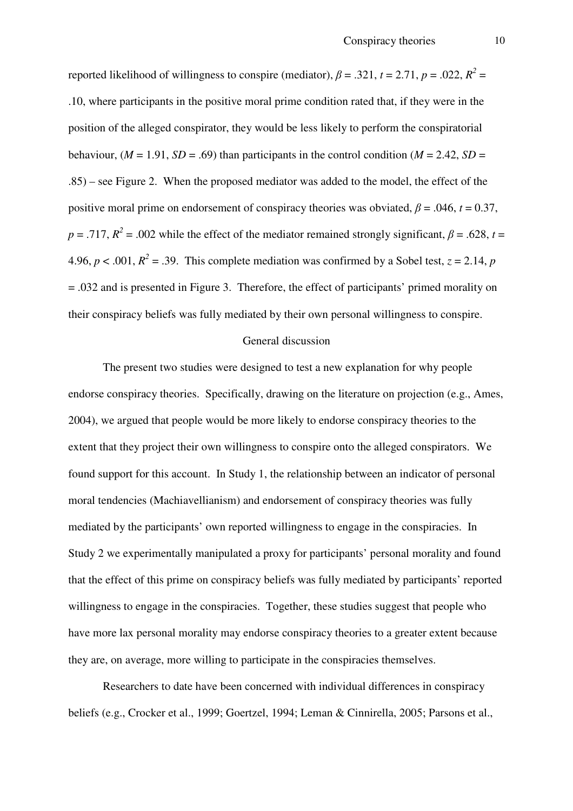reported likelihood of willingness to conspire (mediator),  $\beta = .321$ ,  $t = 2.71$ ,  $p = .022$ ,  $R^2 =$ .10, where participants in the positive moral prime condition rated that, if they were in the position of the alleged conspirator, they would be less likely to perform the conspiratorial behaviour,  $(M = 1.91, SD = .69)$  than participants in the control condition  $(M = 2.42, SD =$ .85) – see Figure 2. When the proposed mediator was added to the model, the effect of the positive moral prime on endorsement of conspiracy theories was obviated,  $\beta = .046$ ,  $t = 0.37$ ,  $p = .717$ ,  $R^2 = .002$  while the effect of the mediator remained strongly significant,  $\beta = .628$ ,  $t =$ 4.96,  $p < .001$ ,  $R^2 = .39$ . This complete mediation was confirmed by a Sobel test,  $z = 2.14$ ,  $p$ = .032 and is presented in Figure 3. Therefore, the effect of participants' primed morality on their conspiracy beliefs was fully mediated by their own personal willingness to conspire.

#### General discussion

 The present two studies were designed to test a new explanation for why people endorse conspiracy theories. Specifically, drawing on the literature on projection (e.g., Ames, 2004), we argued that people would be more likely to endorse conspiracy theories to the extent that they project their own willingness to conspire onto the alleged conspirators. We found support for this account. In Study 1, the relationship between an indicator of personal moral tendencies (Machiavellianism) and endorsement of conspiracy theories was fully mediated by the participants' own reported willingness to engage in the conspiracies. In Study 2 we experimentally manipulated a proxy for participants' personal morality and found that the effect of this prime on conspiracy beliefs was fully mediated by participants' reported willingness to engage in the conspiracies. Together, these studies suggest that people who have more lax personal morality may endorse conspiracy theories to a greater extent because they are, on average, more willing to participate in the conspiracies themselves.

Researchers to date have been concerned with individual differences in conspiracy beliefs (e.g., Crocker et al., 1999; Goertzel, 1994; Leman & Cinnirella, 2005; Parsons et al.,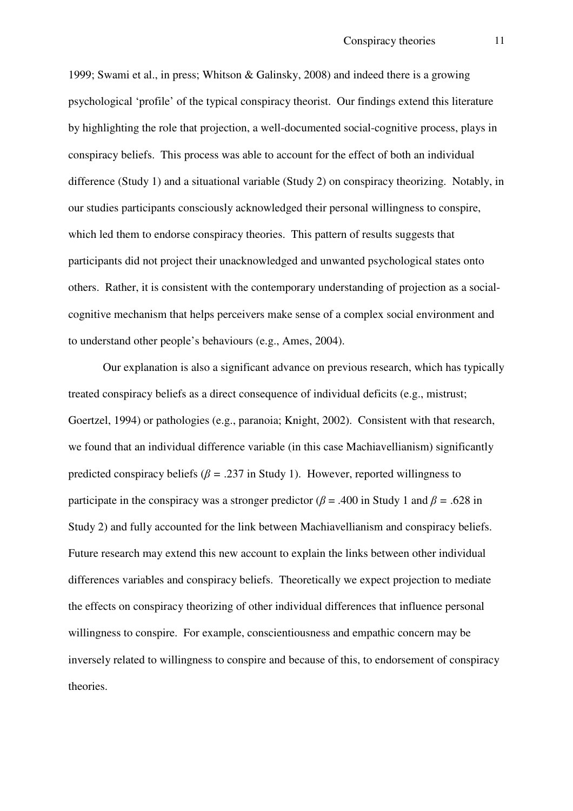1999; Swami et al., in press; Whitson & Galinsky, 2008) and indeed there is a growing psychological 'profile' of the typical conspiracy theorist. Our findings extend this literature by highlighting the role that projection, a well-documented social-cognitive process, plays in conspiracy beliefs. This process was able to account for the effect of both an individual difference (Study 1) and a situational variable (Study 2) on conspiracy theorizing. Notably, in our studies participants consciously acknowledged their personal willingness to conspire, which led them to endorse conspiracy theories. This pattern of results suggests that participants did not project their unacknowledged and unwanted psychological states onto others. Rather, it is consistent with the contemporary understanding of projection as a socialcognitive mechanism that helps perceivers make sense of a complex social environment and to understand other people's behaviours (e.g., Ames, 2004).

Our explanation is also a significant advance on previous research, which has typically treated conspiracy beliefs as a direct consequence of individual deficits (e.g., mistrust; Goertzel, 1994) or pathologies (e.g., paranoia; Knight, 2002). Consistent with that research, we found that an individual difference variable (in this case Machiavellianism) significantly predicted conspiracy beliefs ( $\beta$  = .237 in Study 1). However, reported willingness to participate in the conspiracy was a stronger predictor ( $\beta$  = .400 in Study 1 and  $\beta$  = .628 in Study 2) and fully accounted for the link between Machiavellianism and conspiracy beliefs. Future research may extend this new account to explain the links between other individual differences variables and conspiracy beliefs. Theoretically we expect projection to mediate the effects on conspiracy theorizing of other individual differences that influence personal willingness to conspire. For example, conscientiousness and empathic concern may be inversely related to willingness to conspire and because of this, to endorsement of conspiracy theories.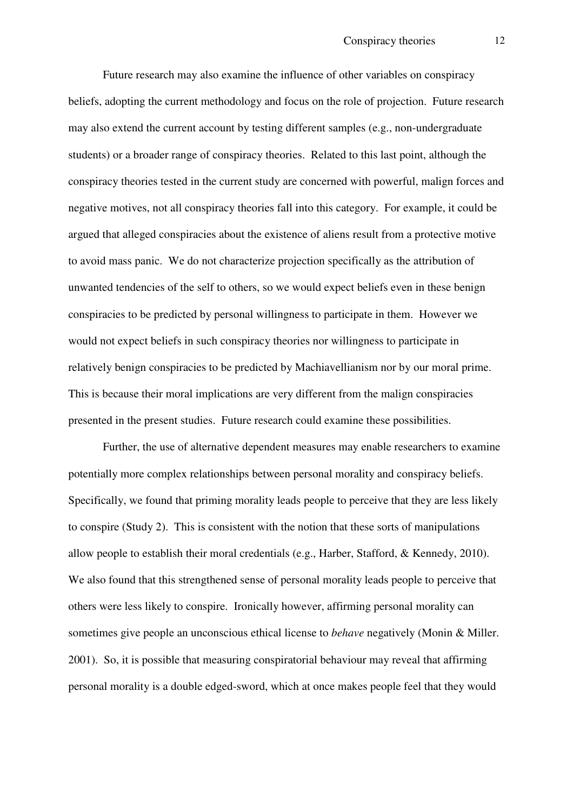Future research may also examine the influence of other variables on conspiracy beliefs, adopting the current methodology and focus on the role of projection. Future research may also extend the current account by testing different samples (e.g., non-undergraduate students) or a broader range of conspiracy theories. Related to this last point, although the conspiracy theories tested in the current study are concerned with powerful, malign forces and negative motives, not all conspiracy theories fall into this category. For example, it could be argued that alleged conspiracies about the existence of aliens result from a protective motive to avoid mass panic. We do not characterize projection specifically as the attribution of unwanted tendencies of the self to others, so we would expect beliefs even in these benign conspiracies to be predicted by personal willingness to participate in them. However we would not expect beliefs in such conspiracy theories nor willingness to participate in relatively benign conspiracies to be predicted by Machiavellianism nor by our moral prime. This is because their moral implications are very different from the malign conspiracies presented in the present studies. Future research could examine these possibilities.

Further, the use of alternative dependent measures may enable researchers to examine potentially more complex relationships between personal morality and conspiracy beliefs. Specifically, we found that priming morality leads people to perceive that they are less likely to conspire (Study 2). This is consistent with the notion that these sorts of manipulations allow people to establish their moral credentials (e.g., Harber, Stafford, & Kennedy, 2010). We also found that this strengthened sense of personal morality leads people to perceive that others were less likely to conspire. Ironically however, affirming personal morality can sometimes give people an unconscious ethical license to *behave* negatively (Monin & Miller. 2001). So, it is possible that measuring conspiratorial behaviour may reveal that affirming personal morality is a double edged-sword, which at once makes people feel that they would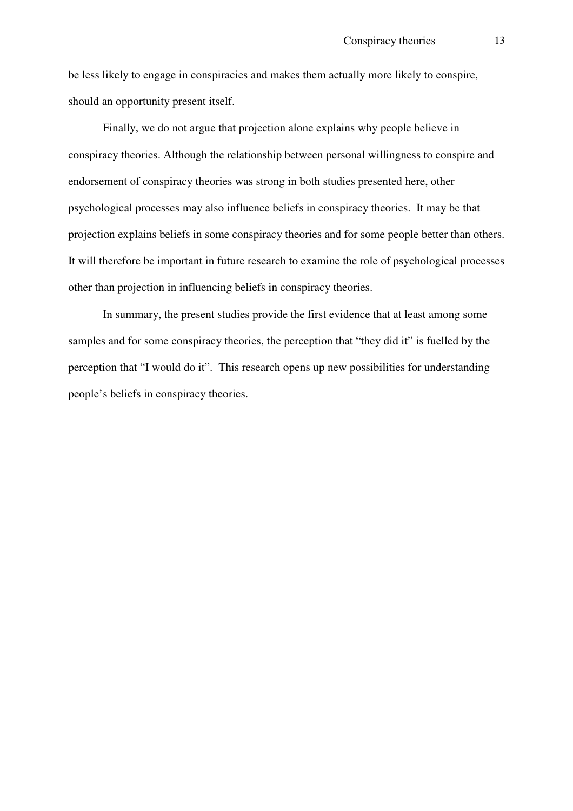be less likely to engage in conspiracies and makes them actually more likely to conspire, should an opportunity present itself.

Finally, we do not argue that projection alone explains why people believe in conspiracy theories. Although the relationship between personal willingness to conspire and endorsement of conspiracy theories was strong in both studies presented here, other psychological processes may also influence beliefs in conspiracy theories. It may be that projection explains beliefs in some conspiracy theories and for some people better than others. It will therefore be important in future research to examine the role of psychological processes other than projection in influencing beliefs in conspiracy theories.

In summary, the present studies provide the first evidence that at least among some samples and for some conspiracy theories, the perception that "they did it" is fuelled by the perception that "I would do it". This research opens up new possibilities for understanding people's beliefs in conspiracy theories.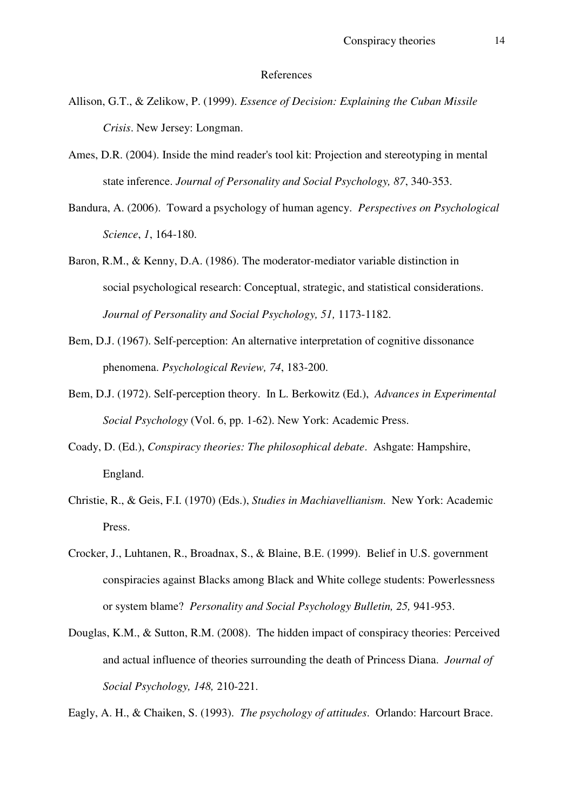#### References

- Allison, G.T., & Zelikow, P. (1999). *Essence of Decision: Explaining the Cuban Missile Crisis*. New Jersey: Longman.
- Ames, D.R. (2004). Inside the mind reader's tool kit: Projection and stereotyping in mental state inference. *Journal of Personality and Social Psychology, 87*, 340-353.
- Bandura, A. (2006). Toward a psychology of human agency. *Perspectives on Psychological Science*, *1*, 164-180.
- Baron, R.M., & Kenny, D.A. (1986). The moderator-mediator variable distinction in social psychological research: Conceptual, strategic, and statistical considerations. *Journal of Personality and Social Psychology, 51,* 1173-1182.
- Bem, D.J. (1967). Self-perception: An alternative interpretation of cognitive dissonance phenomena. *Psychological Review, 74*, 183-200.
- Bem, D.J. (1972). Self-perception theory. In L. Berkowitz (Ed.), *Advances in Experimental Social Psychology* (Vol. 6, pp. 1-62). New York: Academic Press.
- Coady, D. (Ed.), *Conspiracy theories: The philosophical debate*. Ashgate: Hampshire, England.
- Christie, R., & Geis, F.I. (1970) (Eds.), *Studies in Machiavellianism*. New York: Academic Press.
- Crocker, J., Luhtanen, R., Broadnax, S., & Blaine, B.E. (1999). Belief in U.S. government conspiracies against Blacks among Black and White college students: Powerlessness or system blame? *Personality and Social Psychology Bulletin, 25,* 941-953.
- Douglas, K.M., & Sutton, R.M. (2008). The hidden impact of conspiracy theories: Perceived and actual influence of theories surrounding the death of Princess Diana. *Journal of Social Psychology, 148,* 210-221.

Eagly, A. H., & Chaiken, S. (1993). *The psychology of attitudes*. Orlando: Harcourt Brace.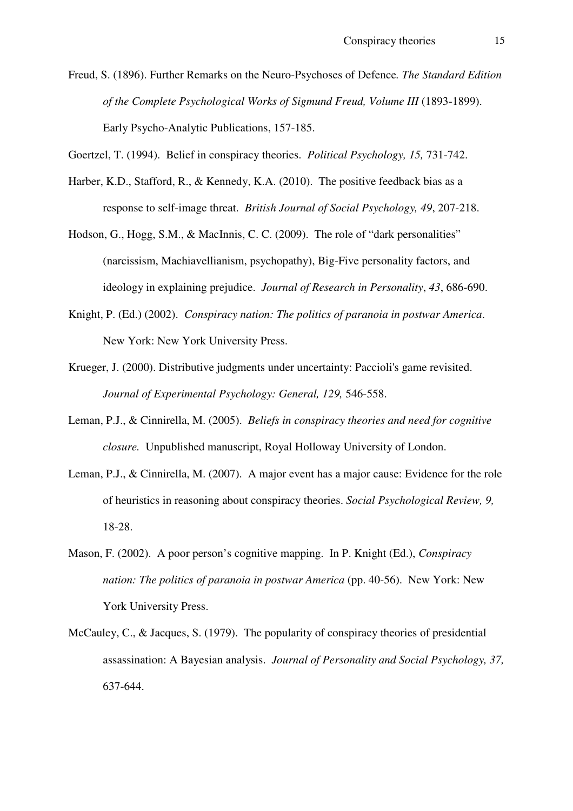Freud, S. (1896). Further Remarks on the Neuro-Psychoses of Defence*. The Standard Edition of the Complete Psychological Works of Sigmund Freud, Volume III* (1893-1899). Early Psycho-Analytic Publications, 157-185.

Goertzel, T. (1994). Belief in conspiracy theories. *Political Psychology, 15,* 731-742.

- Harber, K.D., Stafford, R., & Kennedy, K.A. (2010). The positive feedback bias as a response to self-image threat. *British Journal of Social Psychology, 49*, 207-218.
- Hodson, G., Hogg, S.M., & MacInnis, C. C. (2009). The role of "dark personalities" (narcissism, Machiavellianism, psychopathy), Big-Five personality factors, and ideology in explaining prejudice. *Journal of Research in Personality*, *43*, 686-690.
- Knight, P. (Ed.) (2002). *Conspiracy nation: The politics of paranoia in postwar America*. New York: New York University Press.
- Krueger, J. (2000). Distributive judgments under uncertainty: Paccioli's game revisited. Journal of Experimental Psychology: General, 129, 546-558.
- Leman, P.J., & Cinnirella, M. (2005). *Beliefs in conspiracy theories and need for cognitive closure.* Unpublished manuscript, Royal Holloway University of London.
- Leman, P.J., & Cinnirella, M. (2007). A major event has a major cause: Evidence for the role of heuristics in reasoning about conspiracy theories. *Social Psychological Review, 9,*  18-28.
- Mason, F. (2002). A poor person's cognitive mapping. In P. Knight (Ed.), *Conspiracy nation: The politics of paranoia in postwar America* (pp. 40-56). New York: New York University Press.
- McCauley, C., & Jacques, S. (1979). The popularity of conspiracy theories of presidential assassination: A Bayesian analysis. *Journal of Personality and Social Psychology, 37,*  637-644.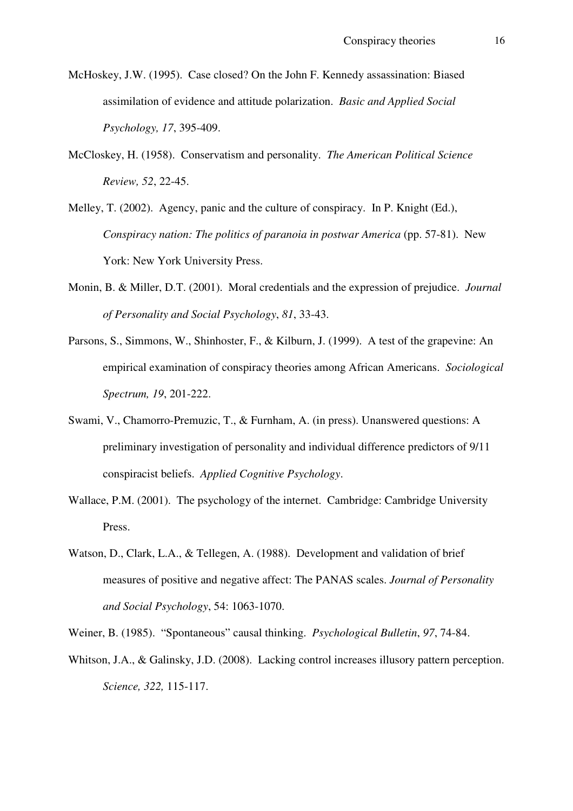- McHoskey, J.W. (1995). Case closed? On the John F. Kennedy assassination: Biased assimilation of evidence and attitude polarization. *Basic and Applied Social Psychology, 17*, 395-409.
- McCloskey, H. (1958). Conservatism and personality. *The American Political Science Review, 52*, 22-45.
- Melley, T. (2002). Agency, panic and the culture of conspiracy. In P. Knight (Ed.), *Conspiracy nation: The politics of paranoia in postwar America* (pp. 57-81). New York: New York University Press.
- Monin, B. & Miller, D.T. (2001). Moral credentials and the expression of prejudice. *Journal of Personality and Social Psychology*, *81*, 33-43.
- Parsons, S., Simmons, W., Shinhoster, F., & Kilburn, J. (1999). A test of the grapevine: An empirical examination of conspiracy theories among African Americans. *Sociological Spectrum, 19*, 201-222.
- Swami, V., Chamorro-Premuzic, T., & Furnham, A. (in press). Unanswered questions: A preliminary investigation of personality and individual difference predictors of 9/11 conspiracist beliefs. *Applied Cognitive Psychology*.
- Wallace, P.M. (2001). The psychology of the internet. Cambridge: Cambridge University Press.
- Watson, D., Clark, L.A., & Tellegen, A. (1988). Development and validation of brief measures of positive and negative affect: The PANAS scales. *Journal of Personality and Social Psychology*, 54: 1063-1070.
- Weiner, B. (1985). "Spontaneous" causal thinking. *Psychological Bulletin*, *97*, 74-84.
- Whitson, J.A., & Galinsky, J.D. (2008). Lacking control increases illusory pattern perception. *Science, 322,* 115-117.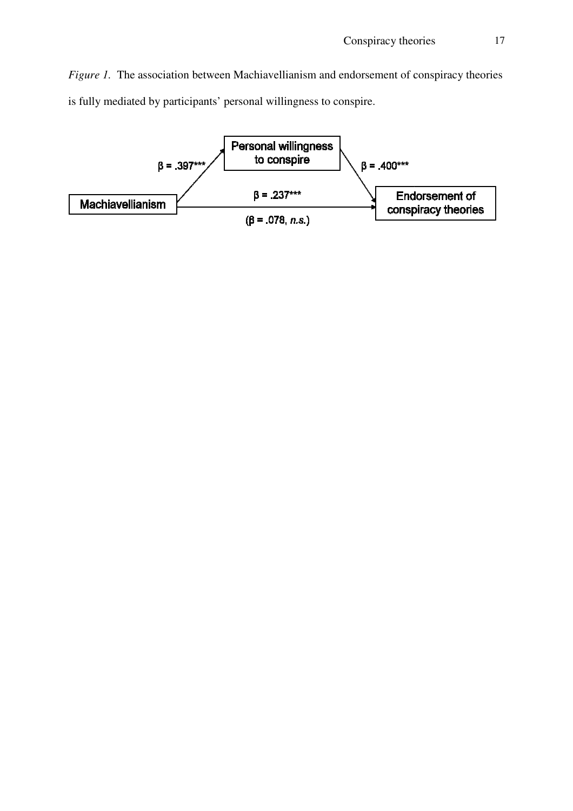Figure 1. The association between Machiavellianism and endorsement of conspiracy theories is fully mediated by participants' personal willingness to conspire.

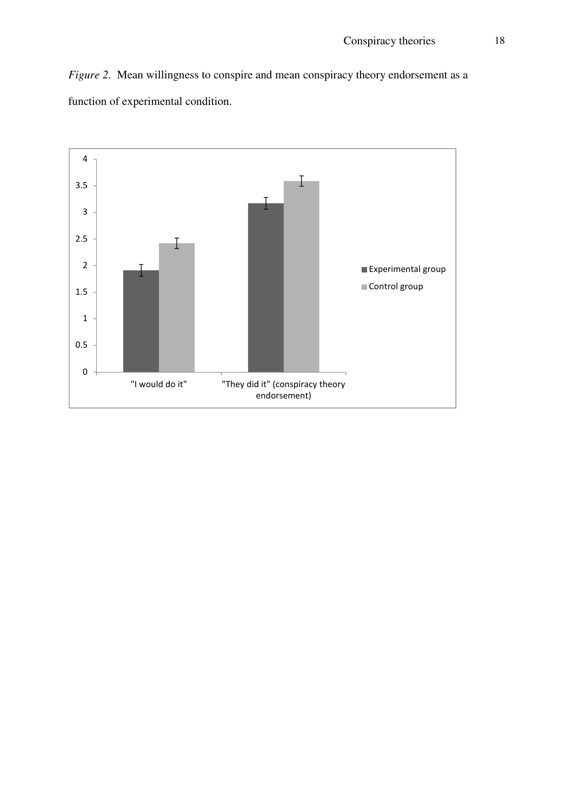*Figure 2.* Mean willingness to conspire and mean conspiracy theory endorsement as a function of experimental condition.